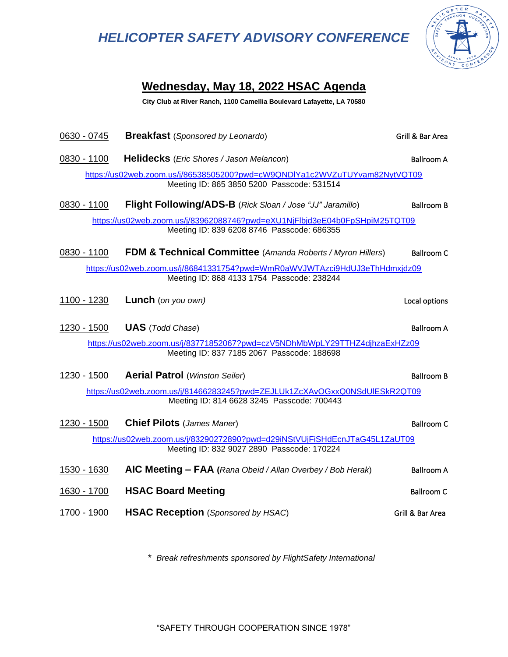# *HELICOPTER SAFETY ADVISORY CONFERENCE*



## **Wednesday, May 18, 2022 HSAC Agenda**

**City Club at River Ranch, 1100 Camellia Boulevard Lafayette, LA 70580**

| 0630 - 0745 | <b>Breakfast</b> (Sponsored by Leonardo)                                                                                 | Grill & Bar Area  |
|-------------|--------------------------------------------------------------------------------------------------------------------------|-------------------|
| 0830 - 1100 | <b>Helidecks</b> (Eric Shores / Jason Melancon)                                                                          | <b>Ballroom A</b> |
|             | https://us02web.zoom.us/j/86538505200?pwd=cW9QNDIYa1c2WVZuTUYvam82NytVQT09<br>Meeting ID: 865 3850 5200 Passcode: 531514 |                   |
| 0830 - 1100 | Flight Following/ADS-B (Rick Sloan / Jose "JJ" Jaramillo)                                                                | <b>Ballroom B</b> |
|             | https://us02web.zoom.us/j/83962088746?pwd=eXU1NjFlbjd3eE04b0FpSHpiM25TQT09<br>Meeting ID: 839 6208 8746 Passcode: 686355 |                   |
| 0830 - 1100 | <b>FDM &amp; Technical Committee</b> (Amanda Roberts / Myron Hillers)                                                    | <b>Ballroom C</b> |
|             | https://us02web.zoom.us/j/86841331754?pwd=WmR0aWVJWTAzci9HdUJ3eThHdmxjdz09<br>Meeting ID: 868 4133 1754 Passcode: 238244 |                   |
| 1100 - 1230 | <b>Lunch</b> (on you own)                                                                                                | Local options     |
| 1230 - 1500 | <b>UAS</b> (Todd Chase)                                                                                                  | <b>Ballroom A</b> |
|             | https://us02web.zoom.us/j/83771852067?pwd=czV5NDhMbWpLY29TTHZ4djhzaExHZz09<br>Meeting ID: 837 7185 2067 Passcode: 188698 |                   |
| 1230 - 1500 | <b>Aerial Patrol (Winston Seiler)</b>                                                                                    | <b>Ballroom B</b> |
|             | https://us02web.zoom.us/j/81466283245?pwd=ZEJLUk1ZcXAvOGxxQ0NSdUIESkR2QT09<br>Meeting ID: 814 6628 3245 Passcode: 700443 |                   |
| 1230 - 1500 | <b>Chief Pilots (James Maner)</b>                                                                                        | <b>Ballroom C</b> |
|             | https://us02web.zoom.us/j/83290272890?pwd=d29iNStVUjFiSHdEcnJTaG45L1ZaUT09<br>Meeting ID: 832 9027 2890 Passcode: 170224 |                   |
| 1530 - 1630 | AIC Meeting $-$ FAA (Rana Obeid / Allan Overbey / Bob Herak)                                                             | <b>Ballroom A</b> |
| 1630 - 1700 | <b>HSAC Board Meeting</b>                                                                                                | <b>Ballroom C</b> |
| 1700 - 1900 | <b>HSAC Reception</b> (Sponsored by HSAC)                                                                                | Grill & Bar Area  |

*\* Break refreshments sponsored by FlightSafety International*